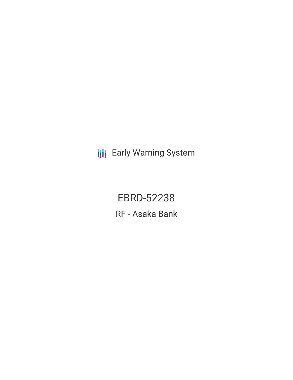**III** Early Warning System

EBRD-52238 RF - Asaka Bank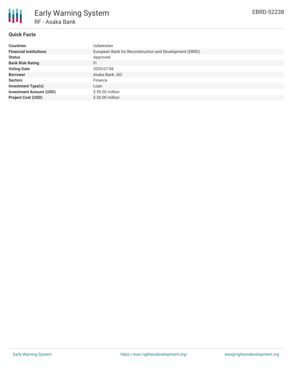

# **Quick Facts**

| <b>Countries</b>               | Uzbekistan                                              |
|--------------------------------|---------------------------------------------------------|
| <b>Financial Institutions</b>  | European Bank for Reconstruction and Development (EBRD) |
| <b>Status</b>                  | Approved                                                |
| <b>Bank Risk Rating</b>        | FI                                                      |
| <b>Voting Date</b>             | 2020-07-08                                              |
| <b>Borrower</b>                | Asaka Bank JSC                                          |
| <b>Sectors</b>                 | Finance                                                 |
| <b>Investment Type(s)</b>      | Loan                                                    |
| <b>Investment Amount (USD)</b> | $$50.00$ million                                        |
| <b>Project Cost (USD)</b>      | $$50.00$ million                                        |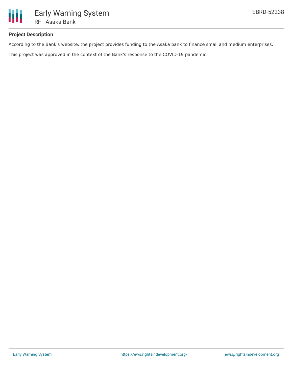

# **Project Description**

According to the Bank's website, the project provides funding to the Asaka bank to finance small and medium enterprises.

This project was approved in the context of the Bank's response to the COVID-19 pandemic.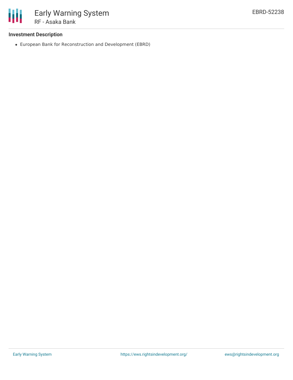

### **Investment Description**

European Bank for Reconstruction and Development (EBRD)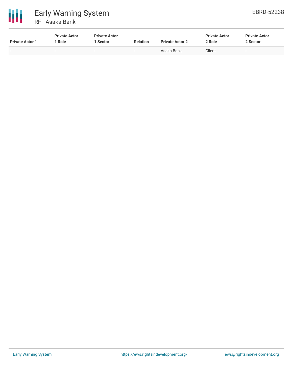

| <b>Private Actor 1</b>   | <b>Private Actor</b><br>Role | <b>Private Actor</b><br>Sector | <b>Relation</b>          | <b>Private Actor 2</b> | <b>Private Actor</b><br>2 Role | <b>Private Actor</b><br>2 Sector |
|--------------------------|------------------------------|--------------------------------|--------------------------|------------------------|--------------------------------|----------------------------------|
| $\overline{\phantom{0}}$ | $\overline{\phantom{a}}$     | $\overline{\phantom{0}}$       | $\overline{\phantom{a}}$ | Asaka Bank             | Client                         | $\qquad \qquad -$                |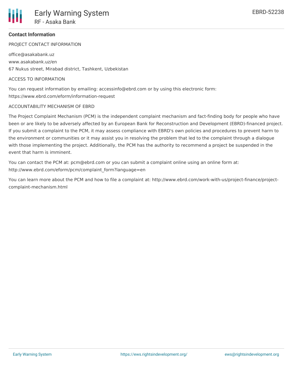### **Contact Information**

PROJECT CONTACT INFORMATION

office@asakabank.uz www.asakabank.uz/en 67 Nukus street, Mirabad district, Tashkent, Uzbekistan

#### ACCESS TO INFORMATION

You can request information by emailing: accessinfo@ebrd.com or by using this electronic form: https://www.ebrd.com/eform/information-request

#### ACCOUNTABILITY MECHANISM OF EBRD

The Project Complaint Mechanism (PCM) is the independent complaint mechanism and fact-finding body for people who have been or are likely to be adversely affected by an European Bank for Reconstruction and Development (EBRD)-financed project. If you submit a complaint to the PCM, it may assess compliance with EBRD's own policies and procedures to prevent harm to the environment or communities or it may assist you in resolving the problem that led to the complaint through a dialogue with those implementing the project. Additionally, the PCM has the authority to recommend a project be suspended in the event that harm is imminent.

You can contact the PCM at: pcm@ebrd.com or you can submit a complaint online using an online form at: http://www.ebrd.com/eform/pcm/complaint\_form?language=en

You can learn more about the PCM and how to file a complaint at: http://www.ebrd.com/work-with-us/project-finance/projectcomplaint-mechanism.html